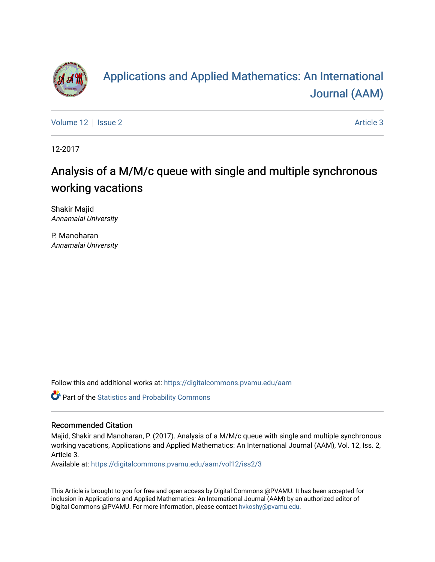

# [Applications and Applied Mathematics: An International](https://digitalcommons.pvamu.edu/aam)  [Journal \(AAM\)](https://digitalcommons.pvamu.edu/aam)

[Volume 12](https://digitalcommons.pvamu.edu/aam/vol12) | [Issue 2](https://digitalcommons.pvamu.edu/aam/vol12/iss2) Article 3

12-2017

# Analysis of a M/M/c queue with single and multiple synchronous working vacations

Shakir Majid Annamalai University

P. Manoharan Annamalai University

Follow this and additional works at: [https://digitalcommons.pvamu.edu/aam](https://digitalcommons.pvamu.edu/aam?utm_source=digitalcommons.pvamu.edu%2Faam%2Fvol12%2Fiss2%2F3&utm_medium=PDF&utm_campaign=PDFCoverPages) 

Part of the [Statistics and Probability Commons](http://network.bepress.com/hgg/discipline/208?utm_source=digitalcommons.pvamu.edu%2Faam%2Fvol12%2Fiss2%2F3&utm_medium=PDF&utm_campaign=PDFCoverPages)

## Recommended Citation

Majid, Shakir and Manoharan, P. (2017). Analysis of a M/M/c queue with single and multiple synchronous working vacations, Applications and Applied Mathematics: An International Journal (AAM), Vol. 12, Iss. 2, Article 3.

Available at: [https://digitalcommons.pvamu.edu/aam/vol12/iss2/3](https://digitalcommons.pvamu.edu/aam/vol12/iss2/3?utm_source=digitalcommons.pvamu.edu%2Faam%2Fvol12%2Fiss2%2F3&utm_medium=PDF&utm_campaign=PDFCoverPages) 

This Article is brought to you for free and open access by Digital Commons @PVAMU. It has been accepted for inclusion in Applications and Applied Mathematics: An International Journal (AAM) by an authorized editor of Digital Commons @PVAMU. For more information, please contact [hvkoshy@pvamu.edu.](mailto:hvkoshy@pvamu.edu)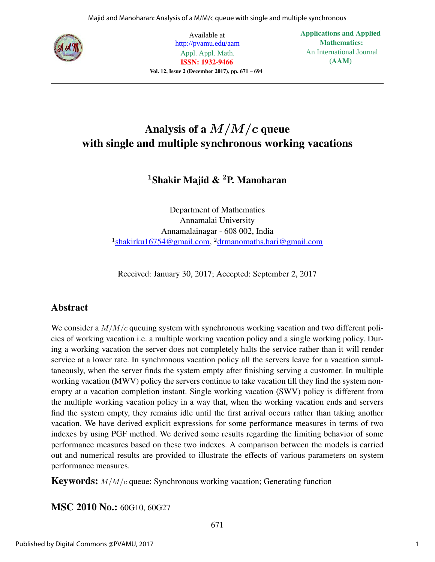

Available at http://pvamu.edu/aam Appl. Appl. Math. **ISSN: 1932-9466** Vol. 12, Issue 2 (December 2017), pp. 671 – 694 **Applications and Applied Mathematics:** An International Journal **(AAM)**

## Analysis of a  $M/M/c$  queue with single and multiple synchronous working vacations

## <sup>1</sup>Shakir Majid & <sup>2</sup>P. Manoharan

Department of Mathematics Annamalai University Annamalainagar - 608 002, India <sup>1</sup>shakirku16754@gmail.com, <sup>2</sup>drmanomaths.hari@gmail.com

Received: January 30, 2017; Accepted: September 2, 2017

## Abstract

We consider a  $M/M/c$  queuing system with synchronous working vacation and two different policies of working vacation i.e. a multiple working vacation policy and a single working policy. During a working vacation the server does not completely halts the service rather than it will render service at a lower rate. In synchronous vacation policy all the servers leave for a vacation simultaneously, when the server finds the system empty after finishing serving a customer. In multiple working vacation (MWV) policy the servers continue to take vacation till they find the system nonempty at a vacation completion instant. Single working vacation (SWV) policy is different from the multiple working vacation policy in a way that, when the working vacation ends and servers find the system empty, they remains idle until the first arrival occurs rather than taking another vacation. We have derived explicit expressions for some performance measures in terms of two indexes by using PGF method. We derived some results regarding the limiting behavior of some performance measures based on these two indexes. A comparison between the models is carried out and numerical results are provided to illustrate the effects of various parameters on system performance measures.

**Keywords:**  $M/M/c$  queue; Synchronous working vacation; Generating function

MSC 2010 No.: 60G10, 60G27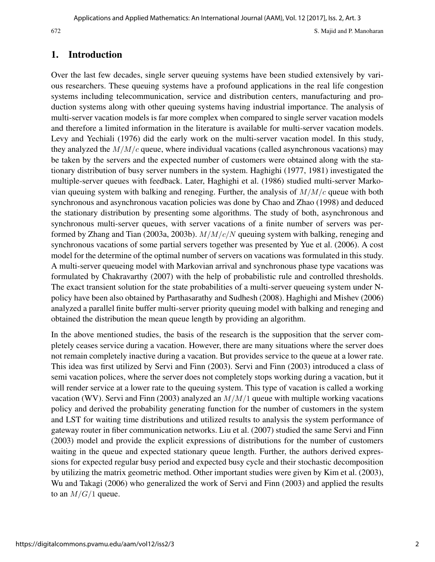## 1. Introduction

Over the last few decades, single server queuing systems have been studied extensively by various researchers. These queuing systems have a profound applications in the real life congestion systems including telecommunication, service and distribution centers, manufacturing and production systems along with other queuing systems having industrial importance. The analysis of multi-server vacation models is far more complex when compared to single server vacation models and therefore a limited information in the literature is available for multi-server vacation models. Levy and Yechiali (1976) did the early work on the multi-server vacation model. In this study, they analyzed the  $M/M/c$  queue, where individual vacations (called asynchronous vacations) may be taken by the servers and the expected number of customers were obtained along with the stationary distribution of busy server numbers in the system. Haghighi (1977, 1981) investigated the multiple-server queues with feedback. Later, Haghighi et al. (1986) studied multi-server Markovian queuing system with balking and reneging. Further, the analysis of  $M/M/c$  queue with both synchronous and asynchronous vacation policies was done by Chao and Zhao (1998) and deduced the stationary distribution by presenting some algorithms. The study of both, asynchronous and synchronous multi-server queues, with server vacations of a finite number of servers was performed by Zhang and Tian (2003a, 2003b).  $M/M/c/N$  queuing system with balking, reneging and synchronous vacations of some partial servers together was presented by Yue et al. (2006). A cost model for the determine of the optimal number of servers on vacations was formulated in this study. A multi-server queueing model with Markovian arrival and synchronous phase type vacations was formulated by Chakravarthy (2007) with the help of probabilistic rule and controlled thresholds. The exact transient solution for the state probabilities of a multi-server queueing system under Npolicy have been also obtained by Parthasarathy and Sudhesh (2008). Haghighi and Mishev (2006) analyzed a parallel finite buffer multi-server priority queuing model with balking and reneging and obtained the distribution the mean queue length by providing an algorithm.

In the above mentioned studies, the basis of the research is the supposition that the server completely ceases service during a vacation. However, there are many situations where the server does not remain completely inactive during a vacation. But provides service to the queue at a lower rate. This idea was first utilized by Servi and Finn (2003). Servi and Finn (2003) introduced a class of semi vacation polices, where the server does not completely stops working during a vacation, but it will render service at a lower rate to the queuing system. This type of vacation is called a working vacation (WV). Servi and Finn (2003) analyzed an  $M/M/1$  queue with multiple working vacations policy and derived the probability generating function for the number of customers in the system and LST for waiting time distributions and utilized results to analysis the system performance of gateway router in fiber communication networks. Liu et al. (2007) studied the same Servi and Finn (2003) model and provide the explicit expressions of distributions for the number of customers waiting in the queue and expected stationary queue length. Further, the authors derived expressions for expected regular busy period and expected busy cycle and their stochastic decomposition by utilizing the matrix geometric method. Other important studies were given by Kim et al. (2003), Wu and Takagi (2006) who generalized the work of Servi and Finn (2003) and applied the results to an  $M/G/1$  queue.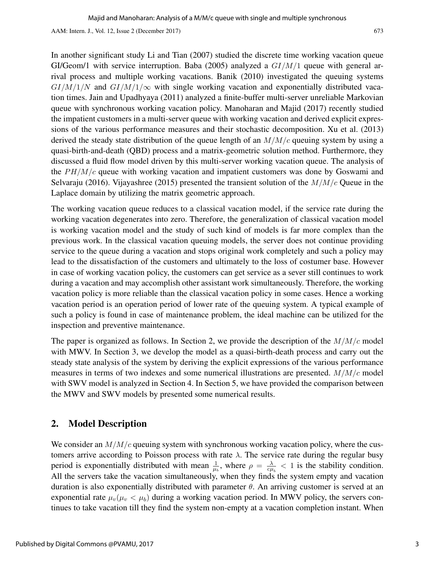AAM: Intern. J., Vol. 12, Issue 2 (December 2017) 673

In another significant study Li and Tian (2007) studied the discrete time working vacation queue GI/Geom/1 with service interruption. Baba (2005) analyzed a  $GI/M/1$  queue with general arrival process and multiple working vacations. Banik (2010) investigated the queuing systems  $GI/M/1/N$  and  $GI/M/1/\infty$  with single working vacation and exponentially distributed vacation times. Jain and Upadhyaya (2011) analyzed a finite-buffer multi-server unreliable Markovian queue with synchronous working vacation policy. Manoharan and Majid (2017) recently studied the impatient customers in a multi-server queue with working vacation and derived explicit expressions of the various performance measures and their stochastic decomposition. Xu et al. (2013) derived the steady state distribution of the queue length of an  $M/M/c$  queuing system by using a quasi-birth-and-death (QBD) process and a matrix-geometric solution method. Furthermore, they discussed a fluid flow model driven by this multi-server working vacation queue. The analysis of the  $PH/M/c$  queue with working vacation and impatient customers was done by Goswami and Selvaraju (2016). Vijayashree (2015) presented the transient solution of the  $M/M/c$  Queue in the Laplace domain by utilizing the matrix geometric approach.

The working vacation queue reduces to a classical vacation model, if the service rate during the working vacation degenerates into zero. Therefore, the generalization of classical vacation model is working vacation model and the study of such kind of models is far more complex than the previous work. In the classical vacation queuing models, the server does not continue providing service to the queue during a vacation and stops original work completely and such a policy may lead to the dissatisfaction of the customers and ultimately to the loss of costumer base. However in case of working vacation policy, the customers can get service as a sever still continues to work during a vacation and may accomplish other assistant work simultaneously. Therefore, the working vacation policy is more reliable than the classical vacation policy in some cases. Hence a working vacation period is an operation period of lower rate of the queuing system. A typical example of such a policy is found in case of maintenance problem, the ideal machine can be utilized for the inspection and preventive maintenance.

The paper is organized as follows. In Section 2, we provide the description of the  $M/M/c$  model with MWV. In Section 3, we develop the model as a quasi-birth-death process and carry out the steady state analysis of the system by deriving the explicit expressions of the various performance measures in terms of two indexes and some numerical illustrations are presented.  $M/M/c$  model with SWV model is analyzed in Section 4. In Section 5, we have provided the comparison between the MWV and SWV models by presented some numerical results.

## 2. Model Description

We consider an  $M/M/c$  queuing system with synchronous working vacation policy, where the customers arrive according to Poisson process with rate  $\lambda$ . The service rate during the regular busy period is exponentially distributed with mean  $\frac{1}{\mu_b}$ , where  $\rho = \frac{\lambda}{c\mu_b}$  $\frac{\lambda}{c\mu_b}$  < 1 is the stability condition. All the servers take the vacation simultaneously, when they finds the system empty and vacation duration is also exponentially distributed with parameter  $θ$ . An arriving customer is served at an exponential rate  $\mu_v(\mu_v < \mu_b)$  during a working vacation period. In MWV policy, the servers continues to take vacation till they find the system non-empty at a vacation completion instant. When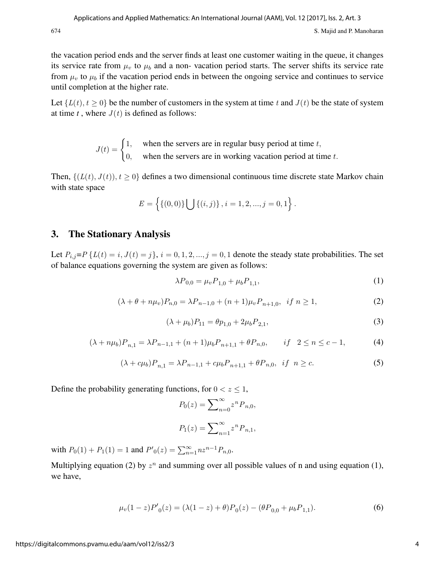the vacation period ends and the server finds at least one customer waiting in the queue, it changes its service rate from  $\mu$ <sub>v</sub> to  $\mu$ <sub>b</sub> and a non-vacation period starts. The server shifts its service rate from  $\mu_v$  to  $\mu_b$  if the vacation period ends in between the ongoing service and continues to service until completion at the higher rate.

Let  $\{L(t), t \ge 0\}$  be the number of customers in the system at time t and  $J(t)$  be the state of system at time  $t$ , where  $J(t)$  is defined as follows:

$$
J(t) = \begin{cases} 1, & \text{when the servers are in regular busy period at time } t, \\ 0, & \text{when the servers are in working vacation period at time } t. \end{cases}
$$

Then,  $\{(L(t), J(t)), t \ge 0\}$  defines a two dimensional continuous time discrete state Markov chain with state space

$$
E = \left\{ \{ (0,0) \} \bigcup \{ (i,j) \}, i = 1,2,...,j = 0,1 \right\}.
$$

## 3. The Stationary Analysis

Let  $P_{i,j}=P$  { $L(t) = i$ ,  $J(t) = j$ },  $i = 0, 1, 2, ..., j = 0, 1$  denote the steady state probabilities. The set of balance equations governing the system are given as follows:

$$
\lambda P_{0,0} = \mu_v P_{1,0} + \mu_b P_{1,1},\tag{1}
$$

$$
(\lambda + \theta + n\mu_v)P_{n,0} = \lambda P_{n-1,0} + (n+1)\mu_v P_{n+1,0}, \text{ if } n \ge 1,
$$
\n(2)

$$
(\lambda + \mu_b)P_{11} = \theta p_{1,0} + 2\mu_b P_{2,1},\tag{3}
$$

$$
(\lambda + n\mu_b)P_{n,1} = \lambda P_{n-1,1} + (n+1)\mu_b P_{n+1,1} + \theta P_{n,0}, \qquad \text{if} \quad 2 \le n \le c-1,\tag{4}
$$

$$
(\lambda + c\mu_b)P_{n,1} = \lambda P_{n-1,1} + c\mu_b P_{n+1,1} + \theta P_{n,0}, \text{ if } n \ge c. \tag{5}
$$

Define the probability generating functions, for  $0 < z \leq 1$ ,

$$
P_0(z) = \sum_{n=0}^{\infty} z^n P_{n,0},
$$
  

$$
P_1(z) = \sum_{n=1}^{\infty} z^n P_{n,1},
$$

with  $P_0(1) + P_1(1) = 1$  and  $P'_{0}(z) = \sum_{n=1}^{\infty} n z^{n-1} P_{n,0}$ .

Multiplying equation (2) by  $z^n$  and summing over all possible values of n and using equation (1), we have,

$$
\mu_v(1-z)P'_0(z) = (\lambda(1-z) + \theta)P_0(z) - (\theta P_{0,0} + \mu_b P_{1,1}).
$$
\n(6)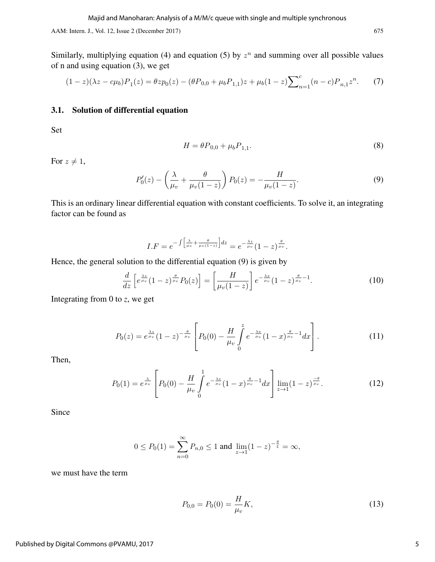AAM: Intern. J., Vol. 12, Issue 2 (December 2017) 675

Similarly, multiplying equation (4) and equation (5) by  $z<sup>n</sup>$  and summing over all possible values of n and using equation (3), we get

$$
(1-z)(\lambda z - c\mu_b)P_1(z) = \theta z p_0(z) - (\theta P_{0,0} + \mu_b P_{1,1})z + \mu_b(1-z)\sum_{n=1}^c (n-c)P_{n,1}z^n.
$$
 (7)

### 3.1. Solution of differential equation

Set

$$
H = \theta P_{0,0} + \mu_b P_{1,1}.
$$
\n(8)

For  $z \neq 1$ ,

$$
P'_0(z) - \left(\frac{\lambda}{\mu_v} + \frac{\theta}{\mu_v(1-z)}\right) P_0(z) = -\frac{H}{\mu_v(1-z)}.
$$
 (9)

This is an ordinary linear differential equation with constant coefficients. To solve it, an integrating factor can be found as

$$
I.F = e^{-\int \left[\frac{\lambda}{\mu v} + \frac{\theta}{\mu v(1-z)}\right]dz} = e^{-\frac{\lambda z}{\mu v}}(1-z)^{\frac{\theta}{\mu v}}.
$$

Hence, the general solution to the differential equation (9) is given by

$$
\frac{d}{dz}\left[e^{\frac{\lambda z}{\mu v}}(1-z)^{\frac{\theta}{\mu v}}P_0(z)\right] = \left[\frac{H}{\mu_v(1-z)}\right]e^{-\frac{\lambda x}{\mu v}}(1-z)^{\frac{\theta}{\mu v}-1}.\tag{10}
$$

Integrating from 0 to *z*, we get

$$
P_0(z) = e^{\frac{\lambda z}{\mu_v}} (1-z)^{-\frac{\theta}{\mu_v}} \left[ P_0(0) - \frac{H}{\mu_v} \int_0^z e^{-\frac{\lambda x}{\mu_v}} (1-x)^{\frac{\theta}{\mu_v}-1} dx \right].
$$
 (11)

Then,

$$
P_0(1) = e^{\frac{\lambda}{\mu_v}} \left[ P_0(0) - \frac{H}{\mu_v} \int_0^1 e^{-\frac{\lambda_x}{\mu_v}} (1-x)^{\frac{\theta}{\mu_v}-1} dx \right] \lim_{z \to 1} (1-z)^{\frac{-\theta}{\mu_v}}.
$$
 (12)

Since

$$
0 \le P_0(1) = \sum_{n=0}^{\infty} P_{n,0} \le 1
$$
 and  $\lim_{z \to 1} (1-z)^{-\frac{\theta}{\xi}} = \infty$ ,

we must have the term

$$
P_{0,0} = P_0(0) = \frac{H}{\mu_v} K,\tag{13}
$$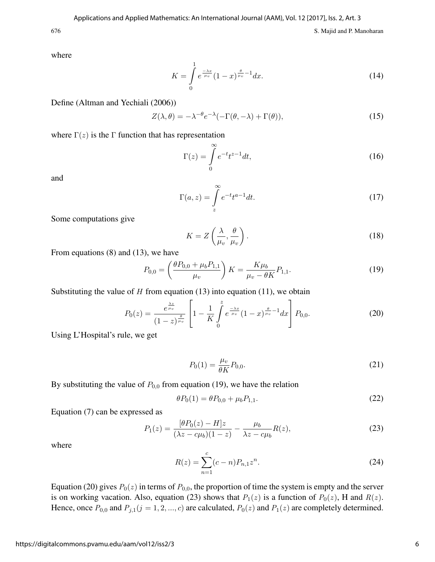where

$$
K = \int_{0}^{1} e^{\frac{-\lambda x}{\mu v}} (1 - x)^{\frac{\theta}{\mu v} - 1} dx.
$$
 (14)

Define (Altman and Yechiali (2006))

$$
Z(\lambda, \theta) = -\lambda^{-\theta} e^{-\lambda} (-\Gamma(\theta, -\lambda) + \Gamma(\theta)), \tag{15}
$$

where  $\Gamma(z)$  is the Γ function that has representation

$$
\Gamma(z) = \int_{0}^{\infty} e^{-t} t^{z-1} dt,
$$
\n(16)

and

$$
\Gamma(a,z) = \int_{z}^{\infty} e^{-t} t^{a-1} dt.
$$
\n(17)

Some computations give

$$
K = Z\left(\frac{\lambda}{\mu_v}, \frac{\theta}{\mu_v}\right). \tag{18}
$$

From equations (8) and (13), we have

$$
P_{0,0} = \left(\frac{\theta P_{0,0} + \mu_b P_{1,1}}{\mu_v}\right) K = \frac{K\mu_b}{\mu_v - \theta K} P_{1,1}.
$$
 (19)

Substituting the value of  $H$  from equation (13) into equation (11), we obtain

$$
P_0(z) = \frac{e^{\frac{\lambda z}{\mu_v}}}{(1-z)^{\frac{\theta}{\mu_v}}} \left[1 - \frac{1}{K} \int\limits_0^z e^{\frac{-\lambda x}{\mu_v}} (1-x)^{\frac{\theta}{\mu_v}-1} dx\right] P_{0,0}.
$$
 (20)

Using L'Hospital's rule, we get

$$
P_0(1) = \frac{\mu_v}{\theta K} P_{0,0}.
$$
\n(21)

By substituting the value of  $P_{0,0}$  from equation (19), we have the relation

$$
\theta P_0(1) = \theta P_{0,0} + \mu_b P_{1,1}.
$$
\n(22)

Equation (7) can be expressed as

$$
P_1(z) = \frac{[\theta P_0(z) - H]z}{(\lambda z - c\mu_b)(1 - z)} - \frac{\mu_b}{\lambda z - c\mu_b}R(z),
$$
\n(23)

where

$$
R(z) = \sum_{n=1}^{c} (c - n) P_{n,1} z^n.
$$
 (24)

Equation (20) gives  $P_0(z)$  in terms of  $P_{0,0}$ , the proportion of time the system is empty and the server is on working vacation. Also, equation (23) shows that  $P_1(z)$  is a function of  $P_0(z)$ , H and  $R(z)$ . Hence, once  $P_{0,0}$  and  $P_{j,1}(j = 1, 2, ..., c)$  are calculated,  $P_0(z)$  and  $P_1(z)$  are completely determined.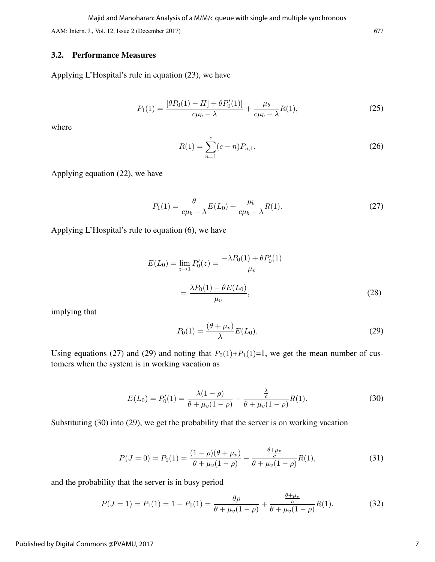Majid and Manoharan: Analysis of a M/M/c queue with single and multiple synchronous

AAM: Intern. J., Vol. 12, Issue 2 (December 2017) 677

#### 3.2. Performance Measures

Applying L'Hospital's rule in equation (23), we have

$$
P_1(1) = \frac{[\theta P_0(1) - H] + \theta P'_0(1)]}{c\mu_b - \lambda} + \frac{\mu_b}{c\mu_b - \lambda} R(1),\tag{25}
$$

where

$$
R(1) = \sum_{n=1}^{c} (c - n) P_{n,1}.
$$
\n(26)

Applying equation (22), we have

$$
P_1(1) = \frac{\theta}{c\mu_b - \lambda} E(L_0) + \frac{\mu_b}{c\mu_b - \lambda} R(1).
$$
 (27)

Applying L'Hospital's rule to equation (6), we have

$$
E(L_0) = \lim_{z \to 1} P'_0(z) = \frac{-\lambda P_0(1) + \theta P'_0(1)}{\mu_v}
$$
  
= 
$$
\frac{\lambda P_0(1) - \theta E(L_0)}{\mu_v},
$$
 (28)

implying that

$$
P_0(1) = \frac{(\theta + \mu_v)}{\lambda} E(L_0). \tag{29}
$$

Using equations (27) and (29) and noting that  $P_0(1)+P_1(1)=1$ , we get the mean number of customers when the system is in working vacation as

$$
E(L_0) = P'_0(1) = \frac{\lambda(1-\rho)}{\theta + \mu_v(1-\rho)} - \frac{\frac{\lambda}{c}}{\theta + \mu_v(1-\rho)}R(1).
$$
 (30)

Substituting (30) into (29), we get the probability that the server is on working vacation

$$
P(J=0) = P_0(1) = \frac{(1-\rho)(\theta + \mu_v)}{\theta + \mu_v(1-\rho)} - \frac{\frac{\theta + \mu_v}{c}}{\theta + \mu_v(1-\rho)}R(1),
$$
\n(31)

and the probability that the server is in busy period

$$
P(J=1) = P_1(1) = 1 - P_0(1) = \frac{\theta \rho}{\theta + \mu_v(1-\rho)} + \frac{\frac{\theta + \mu_v}{c}}{\theta + \mu_v(1-\rho)}R(1).
$$
 (32)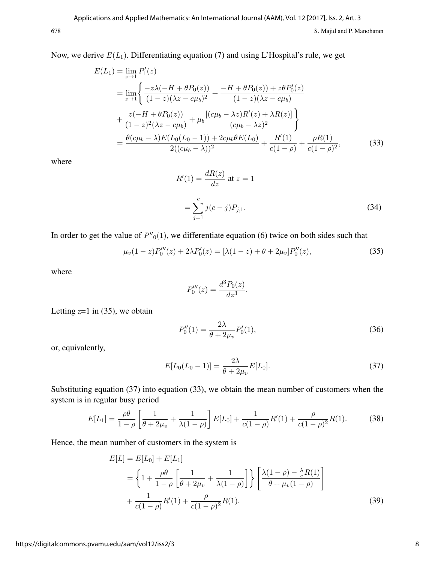Now, we derive  $E(L_1)$ . Differentiating equation (7) and using L'Hospital's rule, we get

$$
E(L_1) = \lim_{z \to 1} P'_1(z)
$$
  
= 
$$
\lim_{z \to 1} \left\{ \frac{-z\lambda(-H + \theta P_0(z))}{(1 - z)(\lambda z - c\mu_b)^2} + \frac{-H + \theta P_0(z) + z\theta P'_0(z)}{(1 - z)(\lambda z - c\mu_b)} + \frac{z(-H + \theta P_0(z))}{(1 - z)^2(\lambda z - c\mu_b)} + \mu_b \frac{[(c\mu_b - \lambda z)R'(z) + \lambda R(z)]}{(c\mu_b - \lambda z)^2} \right\}
$$
  
= 
$$
\frac{\theta(c\mu_b - \lambda)E(L_0(L_0 - 1)) + 2c\mu_b\theta E(L_0)}{2((c\mu_b - \lambda))^2} + \frac{R'(1)}{c(1 - \rho)} + \frac{\rho R(1)}{c(1 - \rho)^2},
$$
(33)

where

$$
R'(1) = \frac{dR(z)}{dz} \text{ at } z = 1
$$
  
= 
$$
\sum_{j=1}^{c} j(c-j)P_{j,1}.
$$
 (34)

In order to get the value of  $P''_0(1)$ , we differentiate equation (6) twice on both sides such that

$$
\mu_v(1-z)P_0'''(z) + 2\lambda P_0'(z) = [\lambda(1-z) + \theta + 2\mu_v]P_0''(z),\tag{35}
$$

where

$$
P_0'''(z) = \frac{d^3 P_0(z)}{dz^3}.
$$

Letting  $z=1$  in (35), we obtain

$$
P_0''(1) = \frac{2\lambda}{\theta + 2\mu_v} P_0'(1),\tag{36}
$$

or, equivalently,

$$
E[L_0(L_0 - 1)] = \frac{2\lambda}{\theta + 2\mu_v} E[L_0].
$$
\n(37)

Substituting equation (37) into equation (33), we obtain the mean number of customers when the system is in regular busy period

$$
E[L_1] = \frac{\rho \theta}{1 - \rho} \left[ \frac{1}{\theta + 2\mu_v} + \frac{1}{\lambda(1 - \rho)} \right] E[L_0] + \frac{1}{c(1 - \rho)} R'(1) + \frac{\rho}{c(1 - \rho)^2} R(1).
$$
 (38)

Hence, the mean number of customers in the system is

$$
E[L] = E[L_0] + E[L_1]
$$
  
=  $\left\{ 1 + \frac{\rho \theta}{1 - \rho} \left[ \frac{1}{\theta + 2\mu_v} + \frac{1}{\lambda(1 - \rho)} \right] \right\} \left[ \frac{\lambda(1 - \rho) - \frac{\lambda}{c} R(1)}{\theta + \mu_v (1 - \rho)} \right]$   
+  $\frac{1}{c(1 - \rho)} R'(1) + \frac{\rho}{c(1 - \rho)^2} R(1).$  (39)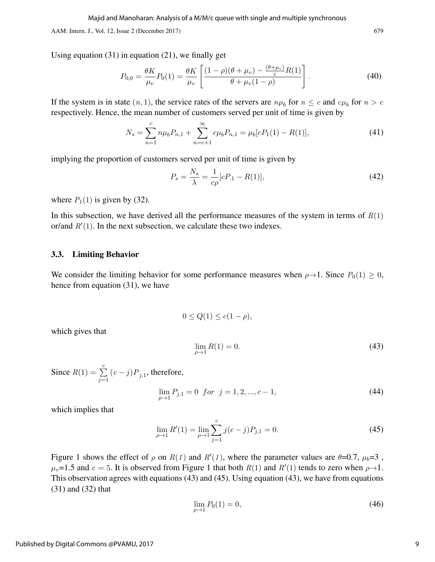AAM: Intern. J., Vol. 12, Issue 2 (December 2017) 679

Using equation (31) in equation (21), we finally get

$$
P_{0,0} = \frac{\theta K}{\mu_v} P_0(1) = \frac{\theta K}{\mu_v} \left[ \frac{(1-\rho)(\theta + \mu_v) - \frac{(\theta + \mu_v)}{c} R(1)}{\theta + \mu_v (1-\rho)} \right].
$$
 (40)

If the system is in state  $(n, 1)$ , the service rates of the servers are  $n\mu_b$  for  $n \leq c$  and  $c\mu_b$  for  $n > c$ respectively. Hence, the mean number of customers served per unit of time is given by

$$
N_s = \sum_{n=1}^{c} n\mu_b P_{n,1} + \sum_{n=c+1}^{\infty} c\mu_b P_{n,1} = \mu_b [cP_1(1) - R(1)],
$$
\n(41)

implying the proportion of customers served per unit of time is given by

$$
P_s = \frac{N_s}{\lambda} = \frac{1}{c\rho} [cP_{.1} - R(1)],\tag{42}
$$

where  $P_1(1)$  is given by (32).

In this subsection, we have derived all the performance measures of the system in terms of  $R(1)$ or/and  $R'(1)$ . In the next subsection, we calculate these two indexes.

#### 3.3. Limiting Behavior

We consider the limiting behavior for some performance measures when  $\rho \rightarrow 1$ . Since  $P_0(1) \geq 0$ , hence from equation (31), we have

$$
0\leq Q(1)\leq c(1-\rho),
$$

which gives that

$$
\lim_{\rho \to 1} R(1) = 0. \tag{43}
$$

Since  $R(1) = \sum_{n=1}^{c}$  $\sum_{j=1}$   $(c-j)P_{j,1}$ , therefore,

$$
\lim_{\rho \to 1} P_{j,1} = 0 \quad \text{for} \quad j = 1, 2, \dots, c - 1,\tag{44}
$$

which implies that

$$
\lim_{\rho \to 1} R'(1) = \lim_{\rho \to 1} \sum_{j=1}^{c} j(c-j) P_{j,1} = 0.
$$
\n(45)

Figure 1 shows the effect of  $\rho$  on  $R(1)$  and  $R'(1)$ , where the parameter values are  $\theta=0.7$ ,  $\mu_b=3$ ,  $\mu_v$ =1.5 and  $c = 5$ . It is observed from Figure 1 that both  $R(1)$  and  $R'(1)$  tends to zero when  $\rho \rightarrow 1$ . This observation agrees with equations (43) and (45). Using equation (43), we have from equations (31) and (32) that

$$
\lim_{\rho \to 1} P_0(1) = 0,\tag{46}
$$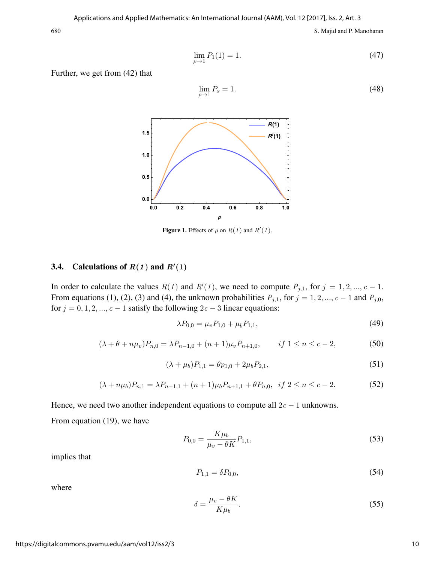$$
\lim_{\rho \to 1} P_1(1) = 1. \tag{47}
$$

Further, we get from (42) that

$$
\lim_{\rho \to 1} P_s = 1. \tag{48}
$$



**Figure 1.** Effects of  $\rho$  on  $R(1)$  and  $R'(1)$ .

## 3.4. Calculations of  $R(1)$  and  $R'(1)$

In order to calculate the values  $R(1)$  and  $R'(1)$ , we need to compute  $P_{j,1}$ , for  $j = 1, 2, ..., c - 1$ . From equations (1), (2), (3) and (4), the unknown probabilities  $P_{j,1}$ , for  $j = 1, 2, ..., c - 1$  and  $P_{j,0}$ , for  $j = 0, 1, 2, ..., c - 1$  satisfy the following  $2c - 3$  linear equations:

$$
\lambda P_{0,0} = \mu_v P_{1,0} + \mu_b P_{1,1},\tag{49}
$$

$$
(\lambda + \theta + n\mu_v)P_{n,0} = \lambda P_{n-1,0} + (n+1)\mu_v P_{n+1,0}, \qquad \text{if } 1 \le n \le c-2,
$$
 (50)

$$
(\lambda + \mu_b)P_{1,1} = \theta p_{1,0} + 2\mu_b P_{2,1},\tag{51}
$$

$$
(\lambda + n\mu_b)P_{n,1} = \lambda P_{n-1,1} + (n+1)\mu_b P_{n+1,1} + \theta P_{n,0}, \ \ if \ 2 \le n \le c-2. \tag{52}
$$

Hence, we need two another independent equations to compute all  $2c - 1$  unknowns. From equation (19), we have

$$
P_{0,0} = \frac{K\mu_b}{\mu_v - \theta K} P_{1,1},\tag{53}
$$

implies that

$$
P_{1,1} = \delta P_{0,0},\tag{54}
$$

where

$$
\delta = \frac{\mu_v - \theta K}{K \mu_b}.\tag{55}
$$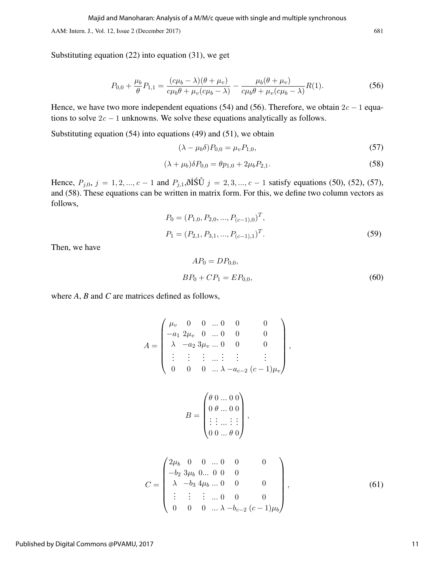AAM: Intern. J., Vol. 12, Issue 2 (December 2017) 681

Substituting equation (22) into equation (31), we get

$$
P_{0,0} + \frac{\mu_b}{\theta} P_{1,1} = \frac{(c\mu_b - \lambda)(\theta + \mu_v)}{c\mu_b \theta + \mu_v (c\mu_b - \lambda)} - \frac{\mu_b(\theta + \mu_v)}{c\mu_b \theta + \mu_v (c\mu_b - \lambda)} R(1). \tag{56}
$$

Hence, we have two more independent equations (54) and (56). Therefore, we obtain  $2c - 1$  equations to solve  $2c - 1$  unknowns. We solve these equations analytically as follows.

Substituting equation  $(54)$  into equations  $(49)$  and  $(51)$ , we obtain

$$
(\lambda - \mu_b \delta) P_{0,0} = \mu_v P_{1,0},
$$
\n(57)

$$
(\lambda + \mu_b)\delta P_{0,0} = \theta p_{1,0} + 2\mu_b P_{2,1}.
$$
\n(58)

Hence,  $P_{j,0}, j = 1, 2, ..., c - 1$  and  $P_{j,1}, \delta \tilde{I} \tilde{S} \tilde{U} j = 2, 3, ..., c - 1$  satisfy equations (50), (52), (57), and (58). These equations can be written in matrix form. For this, we define two column vectors as follows,

$$
P_0 = (P_{1,0}, P_{2,0}, ..., P_{(c-1),0})^T,
$$
  
\n
$$
P_1 = (P_{2,1}, P_{3,1}, ..., P_{(c-1),1})^T.
$$
\n(59)

Then, we have

$$
AP_0 = DP_{0,0},
$$
  

$$
BP_0 + CP_1 = EP_{0,0},
$$
 (60)

where *A*, *B* and *C* are matrices defined as follows,

$$
A = \begin{pmatrix} \mu_v & 0 & 0 & \dots & 0 & 0 & 0 \\ -a_1 & 2\mu_v & 0 & \dots & 0 & 0 & 0 \\ \lambda & -a_2 & 3\mu_v & \dots & 0 & 0 & 0 \\ \vdots & \vdots & \vdots & \dots & \vdots & \vdots & \vdots \\ 0 & 0 & 0 & \dots & \lambda - a_{c-2} & (c-1)\mu_v \end{pmatrix},
$$

$$
B = \begin{pmatrix} \theta & 0 & \dots & 0 & 0 \\ 0 & \theta & \dots & 0 & 0 \\ \vdots & \vdots & \dots & \vdots & \vdots \\ 0 & 0 & \dots & \theta & 0 \end{pmatrix},
$$

$$
C = \begin{pmatrix} 2\mu_b & 0 & 0 & \dots & 0 & 0 & 0 \\ -b_2 & 3\mu_b & 0 & \dots & 0 & 0 & 0 \\ \lambda & -b_3 & 4\mu_b & \dots & 0 & 0 & 0 \\ \vdots & \vdots & \vdots & \dots & 0 & 0 & 0 \\ 0 & 0 & 0 & \dots & \lambda - b_{c-2} & (c-1)\mu_b \end{pmatrix},
$$
(61)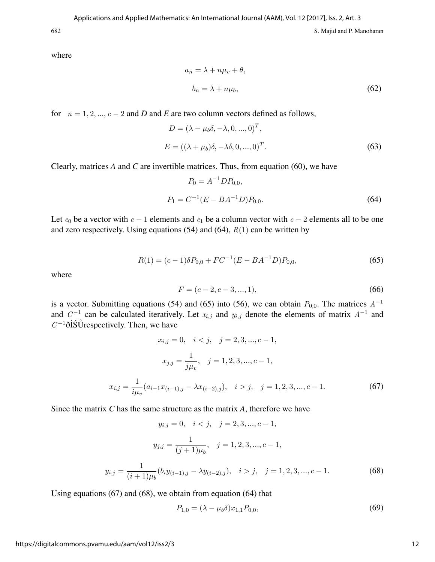where

$$
a_n = \lambda + n\mu_v + \theta,
$$
  

$$
b_n = \lambda + n\mu_b,
$$
 (62)

for  $n = 1, 2, ..., c - 2$  and *D* and *E* are two column vectors defined as follows,

$$
D = (\lambda - \mu_b \delta, -\lambda, 0, ..., 0)^T,
$$
  
\n
$$
E = ((\lambda + \mu_b)\delta, -\lambda \delta, 0, ..., 0)^T.
$$
\n(63)

Clearly, matrices *A* and *C* are invertible matrices. Thus, from equation (60), we have

$$
P_0 = A^{-1} D P_{0,0},
$$
  
\n
$$
P_1 = C^{-1} (E - B A^{-1} D) P_{0,0}.
$$
\n(64)

Let  $e_0$  be a vector with  $c - 1$  elements and  $e_1$  be a column vector with  $c - 2$  elements all to be one and zero respectively. Using equations  $(54)$  and  $(64)$ ,  $R(1)$  can be written by

$$
R(1) = (c-1)\delta P_{0,0} + FC^{-1}(E - BA^{-1}D)P_{0,0},
$$
\n(65)

where

$$
F = (c - 2, c - 3, ..., 1),\tag{66}
$$

is a vector. Submitting equations (54) and (65) into (56), we can obtain  $P_{0,0}$ . The matrices  $A^{-1}$ and  $C^{-1}$  can be calculated iteratively. Let  $x_{i,j}$  and  $y_{i,j}$  denote the elements of matrix  $A^{-1}$  and  $C^{-1}$ ðİS $\mathring{\text{U}}$ respectively. Then, we have

$$
x_{i,j} = 0, \quad i < j, \quad j = 2, 3, \dots, c - 1,
$$
\n
$$
x_{j,j} = \frac{1}{j\mu_v}, \quad j = 1, 2, 3, \dots, c - 1,
$$
\n
$$
x_{i,j} = \frac{1}{i\mu_v} (a_{i-1} x_{(i-1),j} - \lambda x_{(i-2),j}), \quad i > j, \quad j = 1, 2, 3, \dots, c - 1.
$$
\n
$$
(67)
$$

Since the matrix *C* has the same structure as the matrix *A*, therefore we have

$$
y_{i,j} = 0, \quad i < j, \quad j = 2, 3, \dots, c - 1,
$$
\n
$$
y_{j,j} = \frac{1}{(j+1)\mu_b}, \quad j = 1, 2, 3, \dots, c - 1,
$$
\n
$$
y_{i,j} = \frac{1}{(i+1)\mu_b} (b_i y_{(i-1),j} - \lambda y_{(i-2),j}), \quad i > j, \quad j = 1, 2, 3, \dots, c - 1.
$$
\n
$$
(68)
$$

Using equations (67) and (68), we obtain from equation (64) that

$$
P_{1,0} = (\lambda - \mu_b \delta) x_{1,1} P_{0,0},\tag{69}
$$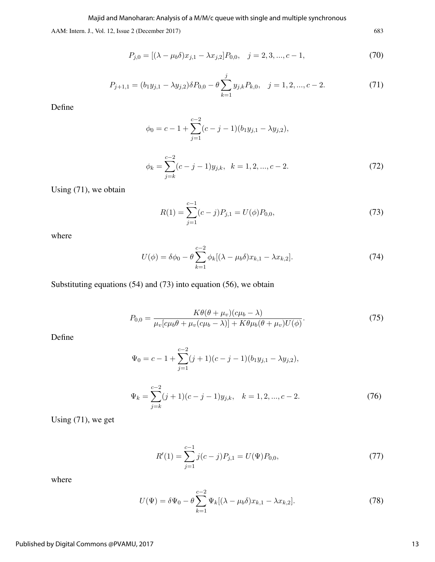Majid and Manoharan: Analysis of a M/M/c queue with single and multiple synchronous

AAM: Intern. J., Vol. 12, Issue 2 (December 2017) 683

$$
P_{j,0} = [(\lambda - \mu_b \delta)x_{j,1} - \lambda x_{j,2}]P_{0,0}, \quad j = 2, 3, ..., c - 1,
$$
\n(70)

$$
P_{j+1,1} = (b_1 y_{j,1} - \lambda y_{j,2}) \delta P_{0,0} - \theta \sum_{k=1}^j y_{j,k} P_{k,0}, \quad j = 1, 2, ..., c-2.
$$
 (71)

Define

$$
\phi_0 = c - 1 + \sum_{j=1}^{c-2} (c - j - 1)(b_1 y_{j,1} - \lambda y_{j,2}),
$$

$$
\phi_k = \sum_{j=k}^{c-2} (c-j-1)y_{j,k}, \quad k = 1, 2, ..., c-2.
$$
 (72)

Using (71), we obtain

$$
R(1) = \sum_{j=1}^{c-1} (c-j)P_{j,1} = U(\phi)P_{0,0},
$$
\n(73)

where

$$
U(\phi) = \delta\phi_0 - \theta \sum_{k=1}^{c-2} \phi_k [(\lambda - \mu_b \delta) x_{k,1} - \lambda x_{k,2}].
$$
 (74)

Substituting equations (54) and (73) into equation (56), we obtain

$$
P_{0,0} = \frac{K\theta(\theta + \mu_v)(c\mu_b - \lambda)}{\mu_v[c\mu_b\theta + \mu_v(c\mu_b - \lambda)] + K\theta\mu_b(\theta + \mu_v)U(\phi)}.
$$
(75)

Define

$$
\Psi_0 = c - 1 + \sum_{j=1}^{c-2} (j+1)(c-j-1)(b_1y_{j,1} - \lambda y_{j,2}),
$$

$$
\Psi_k = \sum_{j=k}^{c-2} (j+1)(c-j-1)y_{j,k}, \quad k = 1, 2, ..., c-2.
$$
 (76)

Using (71), we get

$$
R'(1) = \sum_{j=1}^{c-1} j(c-j)P_{j,1} = U(\Psi)P_{0,0},
$$
\n(77)

where

$$
U(\Psi) = \delta \Psi_0 - \theta \sum_{k=1}^{c-2} \Psi_k [(\lambda - \mu_b \delta) x_{k,1} - \lambda x_{k,2}].
$$
 (78)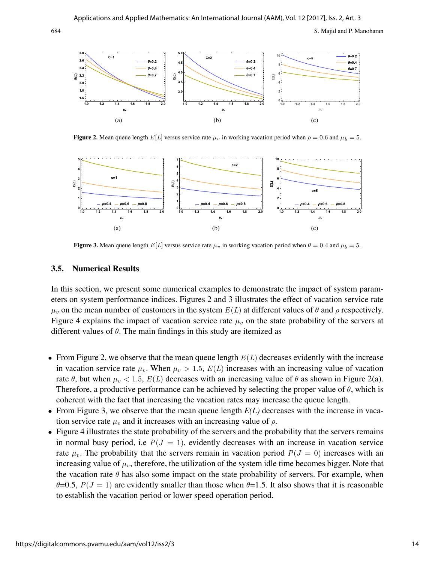

**Figure 2.** Mean queue length  $E[L]$  versus service rate  $\mu_v$  in working vacation period when  $\rho = 0.6$  and  $\mu_b = 5$ .



Figure 3. Mean queue length  $E[L]$  versus service rate  $\mu_v$  in working vacation period when  $\theta = 0.4$  and  $\mu_b = 5$ .

#### 3.5. Numerical Results

In this section, we present some numerical examples to demonstrate the impact of system parameters on system performance indices. Figures 2 and 3 illustrates the effect of vacation service rate  $\mu_v$  on the mean number of customers in the system  $E(L)$  at different values of  $\theta$  and  $\rho$  respectively. Figure 4 explains the impact of vacation service rate  $\mu$  on the state probability of the servers at different values of  $\theta$ . The main findings in this study are itemized as

- From Figure 2, we observe that the mean queue length  $E(L)$  decreases evidently with the increase in vacation service rate  $\mu_v$ . When  $\mu_v > 1.5$ ,  $E(L)$  increases with an increasing value of vacation rate  $\theta$ , but when  $\mu_v < 1.5$ ,  $E(L)$  decreases with an increasing value of  $\theta$  as shown in Figure 2(a). Therefore, a productive performance can be achieved by selecting the proper value of  $\theta$ , which is coherent with the fact that increasing the vacation rates may increase the queue length.
- From Figure 3, we observe that the mean queue length  $E(L)$  decreases with the increase in vacation service rate  $\mu_v$  and it increases with an increasing value of  $\rho$ .
- Figure 4 illustrates the state probability of the servers and the probability that the servers remains in normal busy period, i.e  $P(J = 1)$ , evidently decreases with an increase in vacation service rate  $\mu_v$ . The probability that the servers remain in vacation period  $P(J = 0)$  increases with an increasing value of  $\mu_v$ , therefore, the utilization of the system idle time becomes bigger. Note that the vacation rate  $\theta$  has also some impact on the state probability of servers. For example, when  $\theta$ =0.5,  $P(J = 1)$  are evidently smaller than those when  $\theta$ =1.5. It also shows that it is reasonable to establish the vacation period or lower speed operation period.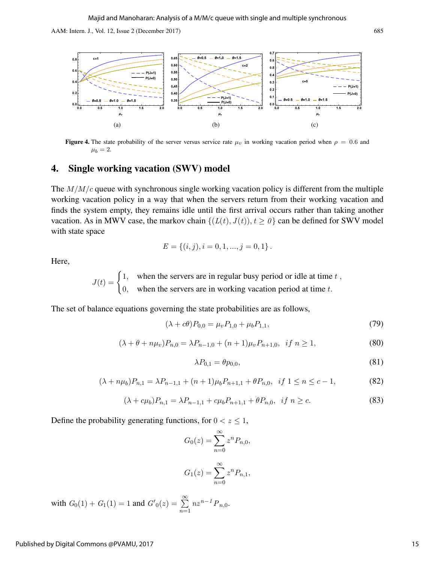

**Figure 4.** The state probability of the server versus service rate  $\mu_v$  in working vacation period when  $\rho = 0.6$  and  $\mu_b = 2.$ 

## 4. Single working vacation (SWV) model

The  $M/M/c$  queue with synchronous single working vacation policy is different from the multiple working vacation policy in a way that when the servers return from their working vacation and finds the system empty, they remains idle until the first arrival occurs rather than taking another vacation. As in MWV case, the markov chain  $\{(L(t), J(t)), t \ge 0\}$  can be defined for SWV model with state space

$$
E = \{(i, j), i = 0, 1, ..., j = 0, 1\}.
$$

Here,

 $J(t) = \begin{cases} 1, & \text{when the servers are in regular busy period or idle at time } t, \\ 1, & \text{otherwise.} \end{cases}$ 0, when the servers are in working vacation period at time  $t$ .

The set of balance equations governing the state probabilities are as follows,

$$
(\lambda + c\theta)P_{0,0} = \mu_v P_{1,0} + \mu_b P_{1,1},\tag{79}
$$

$$
(\lambda + \theta + n\mu_v)P_{n,0} = \lambda P_{n-1,0} + (n+1)\mu_v P_{n+1,0}, \text{ if } n \ge 1,
$$
\n(80)

$$
\lambda P_{0,1} = \theta p_{0,0},\tag{81}
$$

$$
(\lambda + n\mu_b)P_{n,1} = \lambda P_{n-1,1} + (n+1)\mu_b P_{n+1,1} + \theta P_{n,0}, \ \ if \ 1 \le n \le c-1,
$$
\n(82)

$$
(\lambda + c\mu_b)P_{n,1} = \lambda P_{n-1,1} + c\mu_b P_{n+1,1} + \theta P_{n,0}, \text{ if } n \ge c. \tag{83}
$$

Define the probability generating functions, for  $0 < z \leq 1$ ,

$$
G_0(z) = \sum_{n=0}^{\infty} z^n P_{n,0},
$$

$$
G_1(z) = \sum_{n=0}^{\infty} z^n P_{n,1},
$$

with  $G_0(1) + G_1(1) = 1$  and  $G'_0(z) = \sum_{n=1}^{\infty}$  $n=1$  $nz^{n-1}P_{n,0}.$ 

15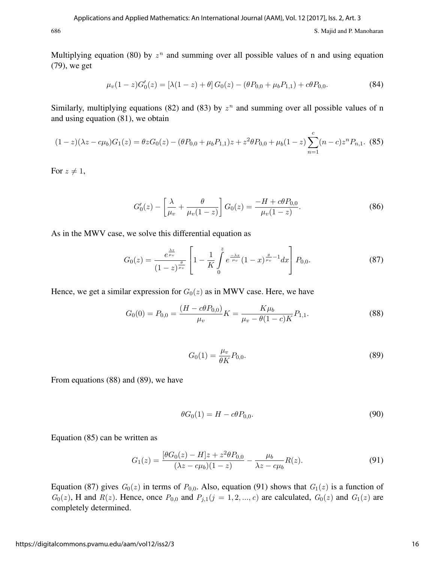Multiplying equation (80) by  $z^n$  and summing over all possible values of n and using equation (79), we get

$$
\mu_v(1-z)G'_0(z) = \left[\lambda(1-z) + \theta\right]G_0(z) - \left(\theta P_{0,0} + \mu_b P_{1,1}\right) + c\theta P_{0,0}.
$$
\n(84)

Similarly, multiplying equations (82) and (83) by  $z^n$  and summing over all possible values of n and using equation (81), we obtain

$$
(1-z)(\lambda z - c\mu_b)G_1(z) = \theta z G_0(z) - (\theta P_{0,0} + \mu_b P_{1,1})z + z^2 \theta P_{0,0} + \mu_b (1-z) \sum_{n=1}^c (n-c) z^n P_{n,1}.
$$
 (85)

For  $z \neq 1$ ,

$$
G_0'(z) - \left[\frac{\lambda}{\mu_v} + \frac{\theta}{\mu_v(1-z)}\right] G_0(z) = \frac{-H + c\theta P_{0,0}}{\mu_v(1-z)}.
$$
 (86)

As in the MWV case, we solve this differential equation as

$$
G_0(z) = \frac{e^{\frac{\lambda z}{\mu_v}}}{(1-z)^{\frac{\theta}{\mu_v}}} \left[1 - \frac{1}{K} \int\limits_0^z e^{\frac{-\lambda x}{\mu_v}} (1-x)^{\frac{\theta}{\mu_v}-1} dx\right] P_{0,0}.
$$
 (87)

Hence, we get a similar expression for  $G_0(z)$  as in MWV case. Here, we have

$$
G_0(0) = P_{0,0} = \frac{(H - c\theta P_{0,0})}{\mu_v} K = \frac{K\mu_b}{\mu_v - \theta(1 - c)K} P_{1,1}.
$$
\n(88)

$$
G_0(1) = \frac{\mu_v}{\theta K} P_{0,0}.
$$
\n(89)

From equations (88) and (89), we have

$$
\theta G_0(1) = H - c\theta P_{0,0}.\tag{90}
$$

Equation (85) can be written as

$$
G_1(z) = \frac{[\theta G_0(z) - H]z + z^2 \theta P_{0,0}}{(\lambda z - c\mu_b)(1 - z)} - \frac{\mu_b}{\lambda z - c\mu_b} R(z).
$$
(91)

Equation (87) gives  $G_0(z)$  in terms of  $P_{0,0}$ . Also, equation (91) shows that  $G_1(z)$  is a function of  $G_0(z)$ , H and  $R(z)$ . Hence, once  $P_{0,0}$  and  $P_{j,1}(j = 1, 2, ..., c)$  are calculated,  $G_0(z)$  and  $G_1(z)$  are completely determined.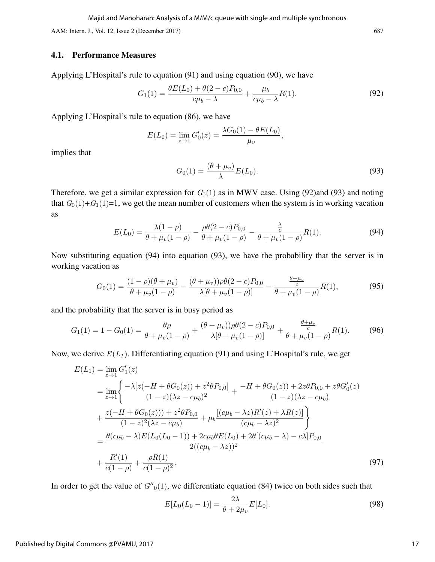Majid and Manoharan: Analysis of a M/M/c queue with single and multiple synchronous

AAM: Intern. J., Vol. 12, Issue 2 (December 2017) 687

#### 4.1. Performance Measures

Applying L'Hospital's rule to equation (91) and using equation (90), we have

$$
G_1(1) = \frac{\theta E(L_0) + \theta(2 - c)P_{0,0}}{c\mu_b - \lambda} + \frac{\mu_b}{c\mu_b - \lambda}R(1). \tag{92}
$$

Applying L'Hospital's rule to equation (86), we have

$$
E(L_0) = \lim_{z \to 1} G'_0(z) = \frac{\lambda G_0(1) - \theta E(L_0)}{\mu_v},
$$

implies that

$$
G_0(1) = \frac{(\theta + \mu_v)}{\lambda} E(L_0). \tag{93}
$$

Therefore, we get a similar expression for  $G_0(1)$  as in MWV case. Using (92)and (93) and noting that  $G_0(1)+G_1(1)=1$ , we get the mean number of customers when the system is in working vacation as

$$
E(L_0) = \frac{\lambda(1-\rho)}{\theta + \mu_v(1-\rho)} - \frac{\rho\theta(2-c)P_{0,0}}{\theta + \mu_v(1-\rho)} - \frac{\frac{\lambda}{c}}{\theta + \mu_v(1-\rho)}R(1).
$$
(94)

Now substituting equation (94) into equation (93), we have the probability that the server is in working vacation as

$$
G_0(1) = \frac{(1-\rho)(\theta + \mu_v)}{\theta + \mu_v(1-\rho)} - \frac{(\theta + \mu_v))\rho\theta(2-c)P_{0,0}}{\lambda[\theta + \mu_v(1-\rho)]} - \frac{\frac{\theta + \mu_v}{c}}{\theta + \mu_v(1-\rho)}R(1),
$$
(95)

and the probability that the server is in busy period as

$$
G_1(1) = 1 - G_0(1) = \frac{\theta \rho}{\theta + \mu_v (1 - \rho)} + \frac{(\theta + \mu_v)) \rho \theta (2 - c) P_{0,0}}{\lambda [\theta + \mu_v (1 - \rho)]} + \frac{\frac{\theta + \mu_v}{c}}{\theta + \mu_v (1 - \rho)} R(1).
$$
 (96)

Now, we derive  $E(L_1)$ . Differentiating equation (91) and using L'Hospital's rule, we get

$$
E(L_1) = \lim_{z \to 1} G'_1(z)
$$
  
\n
$$
= \lim_{z \to 1} \left\{ \frac{-\lambda [z(-H + \theta G_0(z)) + z^2 \theta P_{0,0}]}{(1 - z)(\lambda z - c\mu_b)^2} + \frac{-H + \theta G_0(z) + 2z \theta P_{0,0} + z \theta G'_0(z)}{(1 - z)(\lambda z - c\mu_b)} \right\}
$$
  
\n
$$
+ \frac{z(-H + \theta G_0(z)) + z^2 \theta P_{0,0}}{(1 - z)^2 (\lambda z - c\mu_b)} + \mu_b \frac{[(c\mu_b - \lambda z)R'(z) + \lambda R(z)]}{(c\mu_b - \lambda z)^2} \right\}
$$
  
\n
$$
= \frac{\theta(c\mu_b - \lambda)E(L_0(L_0 - 1)) + 2c\mu_b \theta E(L_0) + 2\theta[(c\mu_b - \lambda) - c\lambda]P_{0,0}}{2((c\mu_b - \lambda z))^2}
$$
  
\n
$$
+ \frac{R'(1)}{c(1 - \rho)} + \frac{\rho R(1)}{c(1 - \rho)^2}.
$$
 (97)

In order to get the value of  $G''_0(1)$ , we differentiate equation (84) twice on both sides such that

$$
E[L_0(L_0 - 1)] = \frac{2\lambda}{\theta + 2\mu_v} E[L_0].
$$
\n(98)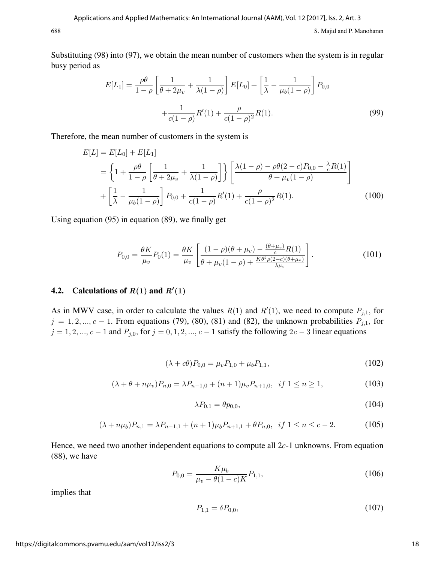Substituting (98) into (97), we obtain the mean number of customers when the system is in regular busy period as

$$
E[L_1] = \frac{\rho \theta}{1 - \rho} \left[ \frac{1}{\theta + 2\mu_v} + \frac{1}{\lambda(1 - \rho)} \right] E[L_0] + \left[ \frac{1}{\lambda} - \frac{1}{\mu_b(1 - \rho)} \right] P_{0,0}
$$

$$
+ \frac{1}{c(1 - \rho)} R'(1) + \frac{\rho}{c(1 - \rho)^2} R(1).
$$
(99)

Therefore, the mean number of customers in the system is

$$
E[L] = E[L_0] + E[L_1]
$$
  
=  $\left\{ 1 + \frac{\rho \theta}{1 - \rho} \left[ \frac{1}{\theta + 2\mu_v} + \frac{1}{\lambda(1 - \rho)} \right] \right\} \left[ \frac{\lambda(1 - \rho) - \rho \theta(2 - c)P_{0,0} - \frac{\lambda}{c}R(1)}{\theta + \mu_v(1 - \rho)} \right]$   
+  $\left[ \frac{1}{\lambda} - \frac{1}{\mu_b(1 - \rho)} \right] P_{0,0} + \frac{1}{c(1 - \rho)} R'(1) + \frac{\rho}{c(1 - \rho)^2} R(1).$  (100)

Using equation (95) in equation (89), we finally get

$$
P_{0,0} = \frac{\theta K}{\mu_v} P_0(1) = \frac{\theta K}{\mu_v} \left[ \frac{(1-\rho)(\theta + \mu_v) - \frac{(\theta + \mu_v)}{c} R(1)}{\theta + \mu_v (1-\rho) + \frac{K\theta^2 \rho(2-c)(\theta + \mu_v)}{\lambda \mu_v}} \right].
$$
 (101)

## 4.2. Calculations of  $R(1)$  and  $R'(1)$

As in MWV case, in order to calculate the values  $R(1)$  and  $R'(1)$ , we need to compute  $P_{j,1}$ , for  $j = 1, 2, ..., c - 1$ . From equations (79), (80), (81) and (82), the unknown probabilities  $P_{j,1}$ , for  $j = 1, 2, ..., c - 1$  and  $P_{j,0}$ , for  $j = 0, 1, 2, ..., c - 1$  satisfy the following  $2c - 3$  linear equations

$$
(\lambda + c\theta)P_{0,0} = \mu_v P_{1,0} + \mu_b P_{1,1},\tag{102}
$$

$$
(\lambda + \theta + n\mu_v)P_{n,0} = \lambda P_{n-1,0} + (n+1)\mu_v P_{n+1,0}, \ \ if \ 1 \le n \ge 1,
$$
\n(103)

$$
\lambda P_{0,1} = \theta p_{0,0},\tag{104}
$$

$$
(\lambda + n\mu_b)P_{n,1} = \lambda P_{n-1,1} + (n+1)\mu_b P_{n+1,1} + \theta P_{n,0}, \ \ if \ 1 \le n \le c-2. \tag{105}
$$

Hence, we need two another independent equations to compute all 2*c*-1 unknowns. From equation (88), we have

$$
P_{0,0} = \frac{K\mu_b}{\mu_v - \theta(1 - c)K} P_{1,1},\tag{106}
$$

implies that

$$
P_{1,1} = \delta P_{0,0},\tag{107}
$$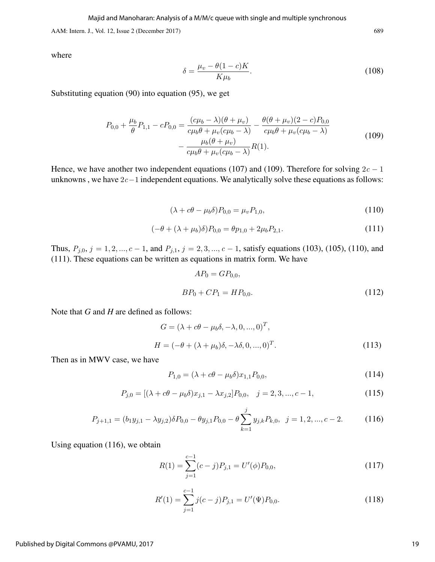Majid and Manoharan: Analysis of a M/M/c queue with single and multiple synchronous

AAM: Intern. J., Vol. 12, Issue 2 (December 2017) 689

where

$$
\delta = \frac{\mu_v - \theta (1 - c) K}{K \mu_b}.
$$
\n(108)

Substituting equation (90) into equation (95), we get

$$
P_{0,0} + \frac{\mu_b}{\theta} P_{1,1} - c P_{0,0} = \frac{(c\mu_b - \lambda)(\theta + \mu_v)}{c\mu_b \theta + \mu_v (c\mu_b - \lambda)} - \frac{\theta(\theta + \mu_v)(2 - c)P_{0,0}}{c\mu_b \theta + \mu_v (c\mu_b - \lambda)} - \frac{\mu_b(\theta + \mu_v)}{c\mu_b \theta + \mu_v (c\mu_b - \lambda)} R(1).
$$
\n(109)

Hence, we have another two independent equations (107) and (109). Therefore for solving  $2c - 1$ unknowns , we have 2c−1 independent equations. We analytically solve these equations as follows:

$$
(\lambda + c\theta - \mu_b \delta) P_{0,0} = \mu_v P_{1,0},
$$
\n(110)

$$
(-\theta + (\lambda + \mu_b)\delta)P_{0,0} = \theta p_{1,0} + 2\mu_b P_{2,1}.
$$
\n(111)

Thus,  $P_{j,0}$ ,  $j = 1, 2, ..., c - 1$ , and  $P_{j,1}$ ,  $j = 2, 3, ..., c - 1$ , satisfy equations (103), (105), (110), and (111). These equations can be written as equations in matrix form. We have

$$
AP_0 = GP_{0,0},
$$
  
\n
$$
BP_0 + CP_1 = HP_{0,0}.
$$
\n(112)

Note that *G* and *H* are defined as follows:

$$
G = (\lambda + c\theta - \mu_b \delta, -\lambda, 0, ..., 0)^T,
$$
  
\n
$$
H = (-\theta + (\lambda + \mu_b)\delta, -\lambda \delta, 0, ..., 0)^T.
$$
\n(113)

Then as in MWV case, we have

$$
P_{1,0} = (\lambda + c\theta - \mu_b \delta)x_{1,1}P_{0,0},\tag{114}
$$

$$
P_{j,0} = [(\lambda + c\theta - \mu_b \delta)x_{j,1} - \lambda x_{j,2}]P_{0,0}, \quad j = 2, 3, ..., c - 1,
$$
\n(115)

$$
P_{j+1,1} = (b_1 y_{j,1} - \lambda y_{j,2}) \delta P_{0,0} - \theta y_{j,1} P_{0,0} - \theta \sum_{k=1}^j y_{j,k} P_{k,0}, \ \ j = 1,2,...,c-2. \tag{116}
$$

Using equation (116), we obtain

$$
R(1) = \sum_{j=1}^{c-1} (c-j)P_{j,1} = U'(\phi)P_{0,0},
$$
\n(117)

$$
R'(1) = \sum_{j=1}^{c-1} j(c-j)P_{j,1} = U'(\Psi)P_{0,0}.
$$
 (118)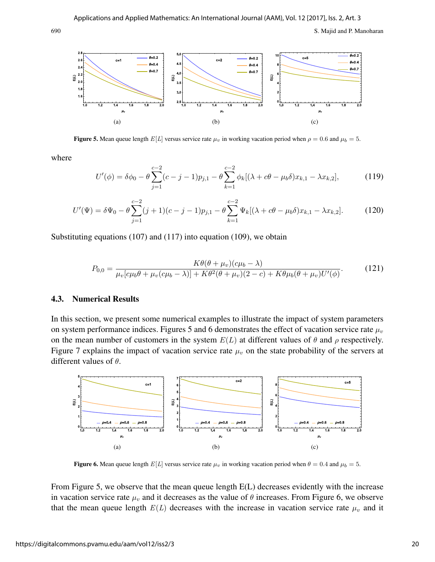

**Figure 5.** Mean queue length  $E[L]$  versus service rate  $\mu_v$  in working vacation period when  $\rho = 0.6$  and  $\mu_b = 5$ .

where

$$
U'(\phi) = \delta\phi_0 - \theta \sum_{j=1}^{c-2} (c - j - 1)p_{j,1} - \theta \sum_{k=1}^{c-2} \phi_k [(\lambda + c\theta - \mu_b \delta)x_{k,1} - \lambda x_{k,2}],
$$
(119)

$$
U'(\Psi) = \delta\Psi_0 - \theta \sum_{j=1}^{c-2} (j+1)(c-j-1)p_{j,1} - \theta \sum_{k=1}^{c-2} \Psi_k[(\lambda + c\theta - \mu_b \delta)x_{k,1} - \lambda x_{k,2}].
$$
 (120)

Substituting equations (107) and (117) into equation (109), we obtain

$$
P_{0,0} = \frac{K\theta(\theta + \mu_v)(c\mu_b - \lambda)}{\mu_v[c\mu_b\theta + \mu_v(c\mu_b - \lambda)] + K\theta^2(\theta + \mu_v)(2 - c) + K\theta\mu_b(\theta + \mu_v)U'(\phi)}.
$$
(121)

#### 4.3. Numerical Results

In this section, we present some numerical examples to illustrate the impact of system parameters on system performance indices. Figures 5 and 6 demonstrates the effect of vacation service rate  $\mu_v$ on the mean number of customers in the system  $E(L)$  at different values of  $\theta$  and  $\rho$  respectively. Figure 7 explains the impact of vacation service rate  $\mu$  on the state probability of the servers at different values of  $\theta$ .

![](_page_20_Figure_11.jpeg)

**Figure 6.** Mean queue length  $E[L]$  versus service rate  $\mu_v$  in working vacation period when  $\theta = 0.4$  and  $\mu_b = 5$ .

From Figure 5, we observe that the mean queue length  $E(L)$  decreases evidently with the increase in vacation service rate  $\mu_v$  and it decreases as the value of  $\theta$  increases. From Figure 6, we observe that the mean queue length  $E(L)$  decreases with the increase in vacation service rate  $\mu_v$  and it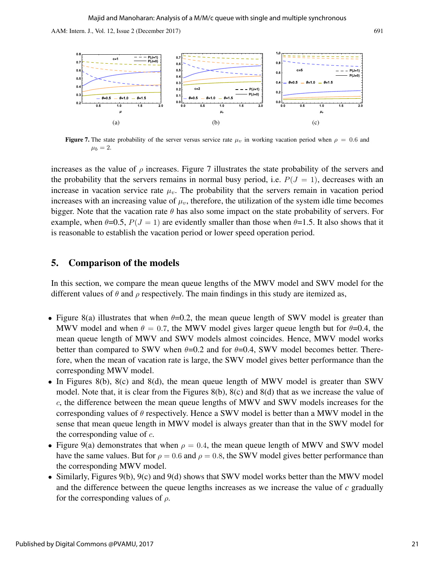![](_page_21_Figure_2.jpeg)

**Figure 7.** The state probability of the server versus service rate  $\mu_v$  in working vacation period when  $\rho = 0.6$  and  $\mu_b = 2.$ 

increases as the value of  $\rho$  increases. Figure 7 illustrates the state probability of the servers and the probability that the servers remains in normal busy period, i.e.  $P(J = 1)$ , decreases with an increase in vacation service rate  $\mu_v$ . The probability that the servers remain in vacation period increases with an increasing value of  $\mu_v$ , therefore, the utilization of the system idle time becomes bigger. Note that the vacation rate  $\theta$  has also some impact on the state probability of servers. For example, when  $\theta = 0.5$ ,  $P(J = 1)$  are evidently smaller than those when  $\theta = 1.5$ . It also shows that it is reasonable to establish the vacation period or lower speed operation period.

## 5. Comparison of the models

In this section, we compare the mean queue lengths of the MWV model and SWV model for the different values of  $\theta$  and  $\rho$  respectively. The main findings in this study are itemized as,

- Figure 8(a) illustrates that when  $\theta = 0.2$ , the mean queue length of SWV model is greater than MWV model and when  $\theta = 0.7$ , the MWV model gives larger queue length but for  $\theta = 0.4$ , the mean queue length of MWV and SWV models almost coincides. Hence, MWV model works better than compared to SWV when  $\theta$ =0.2 and for  $\theta$ =0.4, SWV model becomes better. Therefore, when the mean of vacation rate is large, the SWV model gives better performance than the corresponding MWV model.
- In Figures 8(b), 8(c) and 8(d), the mean queue length of MWV model is greater than SWV model. Note that, it is clear from the Figures 8(b), 8(c) and 8(d) that as we increase the value of c, the difference between the mean queue lengths of MWV and SWV models increases for the corresponding values of  $\theta$  respectively. Hence a SWV model is better than a MWV model in the sense that mean queue length in MWV model is always greater than that in the SWV model for the corresponding value of  $c$ .
- Figure 9(a) demonstrates that when  $\rho = 0.4$ , the mean queue length of MWV and SWV model have the same values. But for  $\rho = 0.6$  and  $\rho = 0.8$ , the SWV model gives better performance than the corresponding MWV model.
- Similarly, Figures 9(b), 9(c) and 9(d) shows that SWV model works better than the MWV model and the difference between the queue lengths increases as we increase the value of *c* gradually for the corresponding values of  $\rho$ .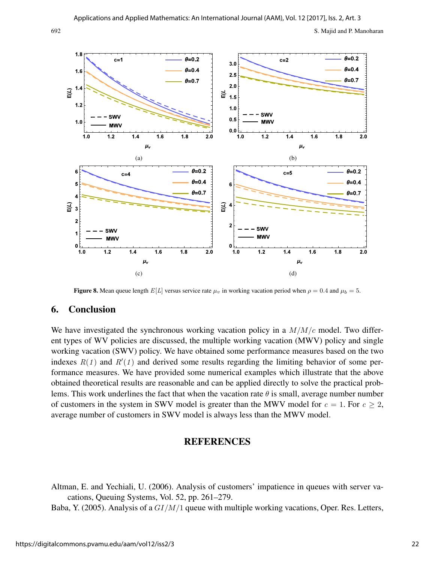![](_page_22_Figure_2.jpeg)

**Figure 8.** Mean queue length  $E[L]$  versus service rate  $\mu_v$  in working vacation period when  $\rho = 0.4$  and  $\mu_b = 5$ .

## 6. Conclusion

We have investigated the synchronous working vacation policy in a  $M/M/c$  model. Two different types of WV policies are discussed, the multiple working vacation (MWV) policy and single working vacation (SWV) policy. We have obtained some performance measures based on the two indexes  $R(1)$  and  $R'(1)$  and derived some results regarding the limiting behavior of some performance measures. We have provided some numerical examples which illustrate that the above obtained theoretical results are reasonable and can be applied directly to solve the practical problems. This work underlines the fact that when the vacation rate  $\theta$  is small, average number number of customers in the system in SWV model is greater than the MWV model for  $c = 1$ . For  $c \ge 2$ , average number of customers in SWV model is always less than the MWV model.

## **REFERENCES**

Altman, E. and Yechiali, U. (2006). Analysis of customers' impatience in queues with server vacations, Queuing Systems, Vol. 52, pp. 261–279.

Baba, Y. (2005). Analysis of a  $GI/M/1$  queue with multiple working vacations, Oper. Res. Letters,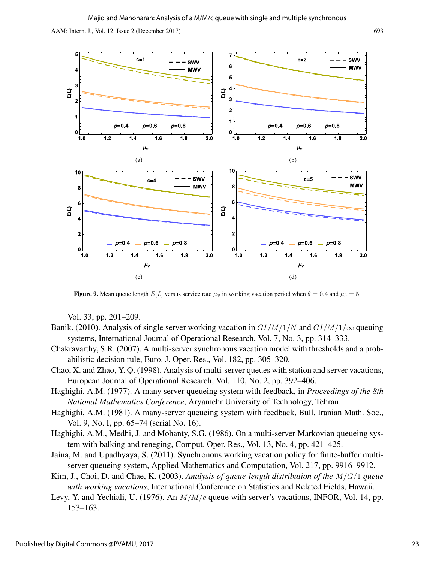![](_page_23_Figure_2.jpeg)

**Figure 9.** Mean queue length  $E[L]$  versus service rate  $\mu_v$  in working vacation period when  $\theta = 0.4$  and  $\mu_b = 5$ .

Vol. 33, pp. 201–209.

- Banik. (2010). Analysis of single server working vacation in  $GI/M/1/N$  and  $GI/M/1/\infty$  queuing systems, International Journal of Operational Research, Vol. 7, No. 3, pp. 314–333.
- Chakravarthy, S.R. (2007). A multi-server synchronous vacation model with thresholds and a probabilistic decision rule, Euro. J. Oper. Res., Vol. 182, pp. 305–320.
- Chao, X. and Zhao, Y. Q. (1998). Analysis of multi-server queues with station and server vacations, European Journal of Operational Research, Vol. 110, No. 2, pp. 392–406.
- Haghighi, A.M. (1977). A many server queueing system with feedback, in *Proceedings of the 8th National Mathematics Conference*, Aryamehr University of Technology, Tehran.
- Haghighi, A.M. (1981). A many-server queueing system with feedback, Bull. Iranian Math. Soc., Vol. 9, No. I, pp. 65–74 (serial No. 16).
- Haghighi, A.M., Medhi, J. and Mohanty, S.G. (1986). On a multi-server Markovian queueing system with balking and reneging, Comput. Oper. Res., Vol. 13, No. 4, pp. 421–425.
- Jaina, M. and Upadhyaya, S. (2011). Synchronous working vacation policy for finite-buffer multiserver queueing system, Applied Mathematics and Computation, Vol. 217, pp. 9916–9912.
- Kim, J., Choi, D. and Chae, K. (2003). *Analysis of queue-length distribution of the* M/G/1 *queue with working vacations*, International Conference on Statistics and Related Fields, Hawaii.
- Levy, Y. and Yechiali, U. (1976). An  $M/M/c$  queue with server's vacations, INFOR, Vol. 14, pp. 153–163.